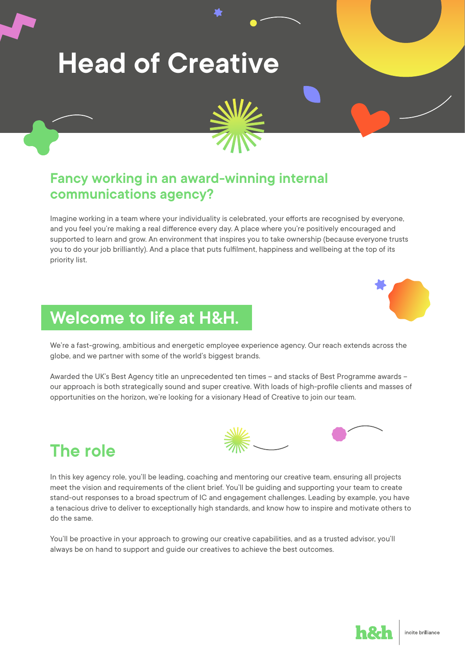# **Head of Creative**



#### **Fancy working in an award-winning internal communications agency?**

Imagine working in a team where your individuality is celebrated, your efforts are recognised by everyone, and you feel you're making a real difference every day. A place where you're positively encouraged and supported to learn and grow. An environment that inspires you to take ownership (because everyone trusts you to do your job brilliantly). And a place that puts fulfilment, happiness and wellbeing at the top of its priority list.

#### **Welcome to life at H&H.**

We're a fast-growing, ambitious and energetic employee experience agency. Our reach extends across the globe, and we partner with some of the world's biggest brands.

Awarded the UK's Best Agency title an unprecedented ten times – and stacks of Best Programme awards – our approach is both strategically sound and super creative. With loads of high-profile clients and masses of opportunities on the horizon, we're looking for a visionary Head of Creative to join our team.



**The role**

In this key agency role, you'll be leading, coaching and mentoring our creative team, ensuring all projects meet the vision and requirements of the client brief. You'll be guiding and supporting your team to create stand-out responses to a broad spectrum of IC and engagement challenges. Leading by example, you have a tenacious drive to deliver to exceptionally high standards, and know how to inspire and motivate others to do the same.

You'll be proactive in your approach to growing our creative capabilities, and as a trusted advisor, you'll always be on hand to support and guide our creatives to achieve the best outcomes.

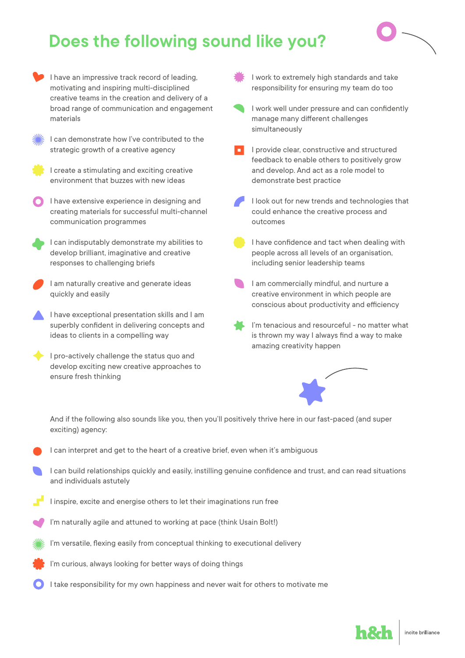### **Does the following sound like you?**



I have an impressive track record of leading, motivating and inspiring multi-disciplined creative teams in the creation and delivery of a broad range of communication and engagement materials

I can demonstrate how I've contributed to the strategic growth of a creative agency

I create a stimulating and exciting creative environment that buzzes with new ideas

I have extensive experience in designing and creating materials for successful multi-channel communication programmes

I can indisputably demonstrate my abilities to develop brilliant, imaginative and creative responses to challenging briefs

I am naturally creative and generate ideas quickly and easily

I have exceptional presentation skills and I am superbly confident in delivering concepts and ideas to clients in a compelling way

I pro-actively challenge the status quo and develop exciting new creative approaches to ensure fresh thinking

I work to extremely high standards and take responsibility for ensuring my team do too

- I work well under pressure and can confidently manage many different challenges simultaneously
- I provide clear, constructive and structured feedback to enable others to positively grow and develop. And act as a role model to demonstrate best practice

I look out for new trends and technologies that could enhance the creative process and outcomes

I have confidence and tact when dealing with people across all levels of an organisation, including senior leadership teams

I am commercially mindful, and nurture a creative environment in which people are conscious about productivity and efficiency

I'm tenacious and resourceful - no matter what is thrown my way I always find a way to make amazing creativity happen



And if the following also sounds like you, then you'll positively thrive here in our fast-paced (and super exciting) agency:

- I can interpret and get to the heart of a creative brief, even when it's ambiguous
- I can build relationships quickly and easily, instilling genuine confidence and trust, and can read situations and individuals astutely
- I inspire, excite and energise others to let their imaginations run free
- I'm naturally agile and attuned to working at pace (think Usain Bolt!)
- I'm versatile, flexing easily from conceptual thinking to executional delivery
- I'm curious, always looking for better ways of doing things
- I take responsibility for my own happiness and never wait for others to motivate me